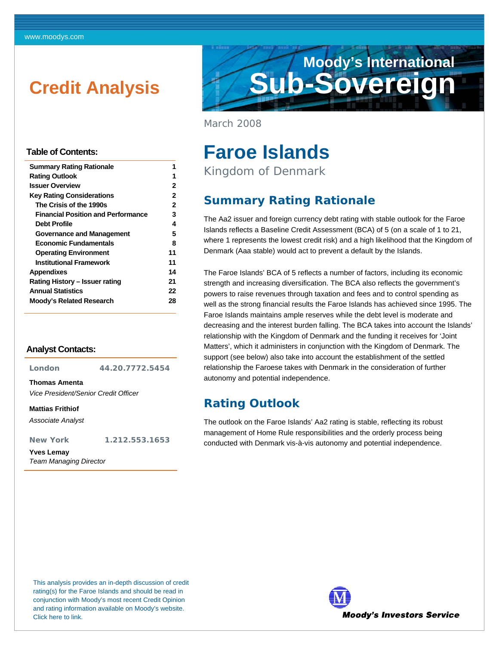# <span id="page-0-0"></span>**Credit Analysis**



March 2008

# **Faroe Islands**

Kingdom of Denmark

## **Summary Rating Rationale**

The Aa2 issuer and foreign currency debt rating with stable outlook for the Faroe Islands reflects a Baseline Credit Assessment (BCA) of 5 (on a scale of 1 to 21, where 1 represents the lowest credit risk) and a high likelihood that the Kingdom of Denmark (Aaa stable) would act to prevent a default by the Islands.

The Faroe Islands' BCA of 5 reflects a number of factors, including its economic strength and increasing diversification. The BCA also reflects the government's powers to raise revenues through taxation and fees and to control spending as well as the strong financial results the Faroe Islands has achieved since 1995. The Faroe Islands maintains ample reserves while the debt level is moderate and decreasing and the interest burden falling. The BCA takes into account the Islands' relationship with the Kingdom of Denmark and the funding it receives for 'Joint Matters', which it administers in conjunction with the Kingdom of Denmark. The support (see below) also take into account the establishment of the settled relationship the Faroese takes with Denmark in the consideration of further autonomy and potential independence.

### **Rating Outlook**

The outlook on the Faroe Islands' Aa2 rating is stable, reflecting its robust management of Home Rule responsibilities and the orderly process being conducted with Denmark vis-à-vis autonomy and potential independence.

### **Table of Contents:**

| <b>Summary Rating Rationale</b>           |    |
|-------------------------------------------|----|
| <b>Rating Outlook</b>                     | 1  |
| <b>Issuer Overview</b>                    | 2  |
| Key Rating Considerations                 | 2  |
| The Crisis of the 1990s                   | 2  |
| <b>Financial Position and Performance</b> | 3  |
| Debt Profile                              | 4  |
| Governance and Management                 | 5  |
| Economic Fundamentals                     | 8  |
| <b>Operating Environment</b>              | 11 |
| <b>Institutional Framework</b>            | 11 |
| <b>Appendixes</b>                         | 14 |
| Rating History – Issuer rating            | 21 |
| <b>Annual Statistics</b>                  | 22 |
| <b>Moody's Related Research</b>           | 28 |
|                                           |    |

#### **Analyst Contacts:**

**London 44.20.7772.5454** 

**Thomas Amenta** 

*Vice President/Senior Credit Officer* 

**Mattias Frithiof** 

*Associate Analyst* 

**New York 1.212.553.1653** 

**Yves Lemay**  *Team Managing Director* 

This analysis provides an in-depth discussion of credit rating(s) for the Faroe Islands and should be read in conjunction with Moody's most recent Credit Opinion and rating information available on Moody's website. [Click here to link.](http://www.moodys.com/cust/se.asp?sQ=820822439&s=5)

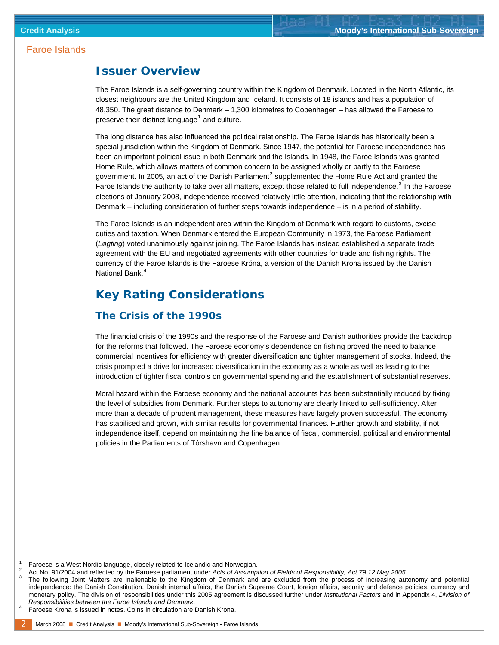### <span id="page-1-0"></span>**Issuer Overview**

The Faroe Islands is a self-governing country within the Kingdom of Denmark. Located in the North Atlantic, its closest neighbours are the United Kingdom and Iceland. It consists of 18 islands and has a population of 48,350. The great distance to Denmark – 1,300 kilometres to Copenhagen – has allowed the Faroese to preserve their distinct language<sup>[1](#page-1-1)</sup> and culture.

The long distance has also influenced the political relationship. The Faroe Islands has historically been a special jurisdiction within the Kingdom of Denmark. Since 1947, the potential for Faroese independence has been an important political issue in both Denmark and the Islands. In 1948, the Faroe Islands was granted Home Rule, which allows matters of common concern to be assigned wholly or partly to the Faroese government. In [2](#page-1-2)005, an act of the Danish Parliament<sup>2</sup> supplemented the Home Rule Act and granted the Faroe Islands the authority to take over all matters, except those related to full independence.<sup>[3](#page-1-3)</sup> In the Faroese elections of January 2008, independence received relatively little attention, indicating that the relationship with Denmark – including consideration of further steps towards independence – is in a period of stability.

The Faroe Islands is an independent area within the Kingdom of Denmark with regard to customs, excise duties and taxation. When Denmark entered the European Community in 1973, the Faroese Parliament (*Løgting*) voted unanimously against joining. The Faroe Islands has instead established a separate trade agreement with the EU and negotiated agreements with other countries for trade and fishing rights. The currency of the Faroe Islands is the Faroese Króna, a version of the Danish Krona issued by the Danish National Bank.<sup>[4](#page-1-4)</sup>

### **Key Rating Considerations**

#### **The Crisis of the 1990s**

The financial crisis of the 1990s and the response of the Faroese and Danish authorities provide the backdrop for the reforms that followed. The Faroese economy's dependence on fishing proved the need to balance commercial incentives for efficiency with greater diversification and tighter management of stocks. Indeed, the crisis prompted a drive for increased diversification in the economy as a whole as well as leading to the introduction of tighter fiscal controls on governmental spending and the establishment of substantial reserves.

Moral hazard within the Faroese economy and the national accounts has been substantially reduced by fixing the level of subsidies from Denmark. Further steps to autonomy are clearly linked to self-sufficiency. After more than a decade of prudent management, these measures have largely proven successful. The economy has stabilised and grown, with similar results for governmental finances. Further growth and stability, if not independence itself, depend on maintaining the fine balance of fiscal, commercial, political and environmental policies in the Parliaments of Tórshavn and Copenhagen.

<span id="page-1-1"></span> $\overline{\phantom{a}}$ Faroese is a West Nordic language, closely related to Icelandic and Norwegian.

<span id="page-1-3"></span><span id="page-1-2"></span><sup>2</sup> <sup>2</sup> Act No. 91/2004 and reflected by the Faroese parliament under *Acts of Assumption of Fields of Responsibility, Act 79 12 May 2005* 

The following Joint Matters are inalienable to the Kingdom of Denmark and are excluded from the process of increasing autonomy and potential independence: the Danish Constitution, Danish internal affairs, the Danish Supreme Court, foreign affairs, security and defence policies, currency and monetary policy. The division of responsibilities under this 2005 agreement is discussed further under *Institutional Factors* and in Appendix 4, *Division of Responsibilities between the Faroe Islands and Denmark*. 4

<span id="page-1-4"></span>Faroese Krona is issued in notes. Coins in circulation are Danish Krona.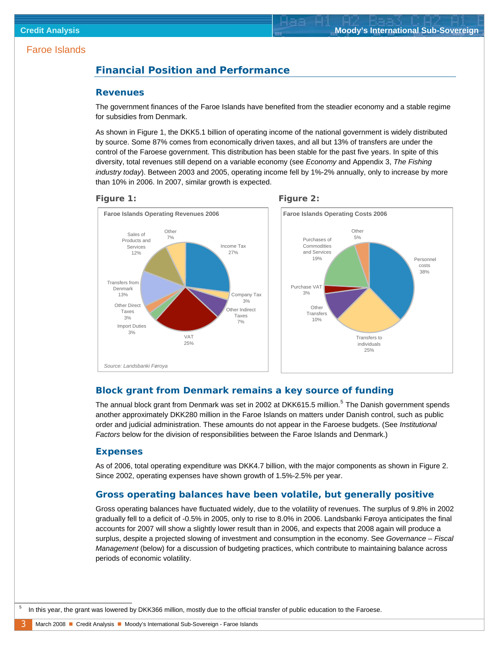### <span id="page-2-0"></span>**Financial Position and Performance**

#### **Revenues**

The government finances of the Faroe Islands have benefited from the steadier economy and a stable regime for subsidies from Denmark.

As shown in Figure 1, the DKK5.1 billion of operating income of the national government is widely distributed by source. Some 87% comes from economically driven taxes, and all but 13% of transfers are under the control of the Faroese government. This distribution has been stable for the past five years. In spite of this diversity, total revenues still depend on a variable economy (see *Economy* and Appendix 3, *The Fishing industry today*). Between 2003 and 2005, operating income fell by 1%-2% annually, only to increase by more than 10% in 2006. In 2007, similar growth is expected.





#### **Block grant from Denmark remains a key source of funding**

The annual block grant from Denmark was set in 2002 at DKK61[5](#page-2-1).5 million.<sup>5</sup> The Danish government spends another approximately DKK280 million in the Faroe Islands on matters under Danish control, such as public order and judicial administration. These amounts do not appear in the Faroese budgets. (See *Institutional Factors* below for the division of responsibilities between the Faroe Islands and Denmark.)

#### **Expenses**

Import Duties 3%

*Source: Landsbanki Føroya*

**Other Direct** Taxes 3%

Transfers from Denmark 13%

Sales of Products and Services 12%

**Other** 7%

As of 2006, total operating expenditure was DKK4.7 billion, with the major components as shown in Figure 2. Since 2002, operating expenses have shown growth of 1.5%-2.5% per year.

#### **Gross operating balances have been volatile, but generally positive**

Gross operating balances have fluctuated widely, due to the volatility of revenues. The surplus of 9.8% in 2002 gradually fell to a deficit of -0.5% in 2005, only to rise to 8.0% in 2006. Landsbanki Føroya anticipates the final accounts for 2007 will show a slightly lower result than in 2006, and expects that 2008 again will produce a surplus, despite a projected slowing of investment and consumption in the economy. See *Governance* – *Fiscal Management* (below) for a discussion of budgeting practices, which contribute to maintaining balance across periods of economic volatility.

<span id="page-2-1"></span> $\overline{\phantom{0}}$ In this year, the grant was lowered by DKK366 million, mostly due to the official transfer of public education to the Faroese.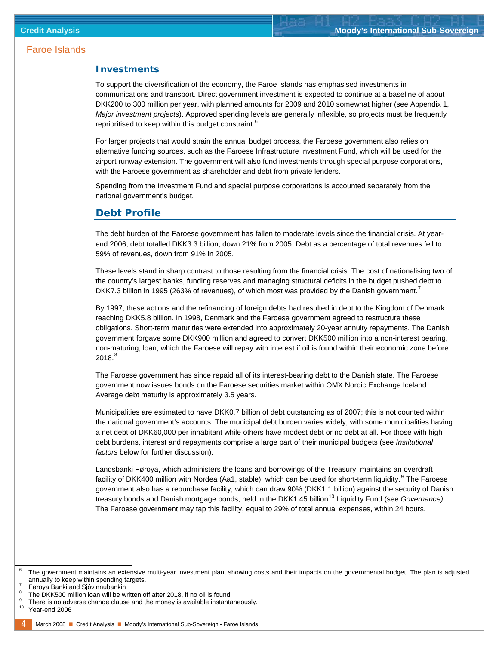#### <span id="page-3-0"></span>**Investments**

To support the diversification of the economy, the Faroe Islands has emphasised investments in communications and transport. Direct government investment is expected to continue at a baseline of about DKK200 to 300 million per year, with planned amounts for 2009 and 2010 somewhat higher (see Appendix 1, *Major investment projects*). Approved spending levels are generally inflexible, so projects must be frequently reprioritised to keep within this budget constraint.<sup>[6](#page-3-1)</sup>

For larger projects that would strain the annual budget process, the Faroese government also relies on alternative funding sources, such as the Faroese Infrastructure Investment Fund, which will be used for the airport runway extension. The government will also fund investments through special purpose corporations, with the Faroese government as shareholder and debt from private lenders.

Spending from the Investment Fund and special purpose corporations is accounted separately from the national government's budget.

#### **Debt Profile**

The debt burden of the Faroese government has fallen to moderate levels since the financial crisis. At yearend 2006, debt totalled DKK3.3 billion, down 21% from 2005. Debt as a percentage of total revenues fell to 59% of revenues, down from 91% in 2005.

These levels stand in sharp contrast to those resulting from the financial crisis. The cost of nationalising two of the country's largest banks, funding reserves and managing structural deficits in the budget pushed debt to DKK[7](#page-3-2).3 billion in 1995 (263% of revenues), of which most was provided by the Danish government.<sup>7</sup>

By 1997, these actions and the refinancing of foreign debts had resulted in debt to the Kingdom of Denmark reaching DKK5.8 billion. In 1998, Denmark and the Faroese government agreed to restructure these obligations. Short-term maturities were extended into approximately 20-year annuity repayments. The Danish government forgave some DKK900 million and agreed to convert DKK500 million into a non-interest bearing, non-maturing, loan, which the Faroese will repay with interest if oil is found within their economic zone before  $2018.^8$  $2018.^8$  $2018.^8$ 

The Faroese government has since repaid all of its interest-bearing debt to the Danish state. The Faroese government now issues bonds on the Faroese securities market within OMX Nordic Exchange Iceland. Average debt maturity is approximately 3.5 years.

Municipalities are estimated to have DKK0.7 billion of debt outstanding as of 2007; this is not counted within the national government's accounts. The municipal debt burden varies widely, with some municipalities having a net debt of DKK60,000 per inhabitant while others have modest debt or no debt at all. For those with high debt burdens, interest and repayments comprise a large part of their municipal budgets (see *Institutional factors* below for further discussion).

Landsbanki Føroya, which administers the loans and borrowings of the Treasury, maintains an overdraft facility of DKK400 million with Nordea (Aa1, stable), which can be used for short-term liquidity.<sup>[9](#page-3-4)</sup> The Faroese government also has a repurchase facility, which can draw 90% (DKK1.1 billion) against the security of Danish treasury bonds and Danish mortgage bonds, held in the DKK1.45 billion<sup>[10](#page-3-5)</sup> Liquidity Fund (see *Governance).* The Faroese government may tap this facility, equal to 29% of total annual expenses, within 24 hours.

<span id="page-3-1"></span> $\overline{\phantom{0}}$  The government maintains an extensive multi-year investment plan, showing costs and their impacts on the governmental budget. The plan is adjusted annually to keep within spending targets. 7

<span id="page-3-2"></span>Føroya Banki and Sjóvinnubankin

<span id="page-3-3"></span><sup>8</sup> The DKK500 million loan will be written off after 2018, if no oil is found

<span id="page-3-4"></span><sup>9</sup>  $\degree$  There is no adverse change clause and the money is available instantaneously.<br><sup>10</sup> Year-end 2006

<span id="page-3-5"></span>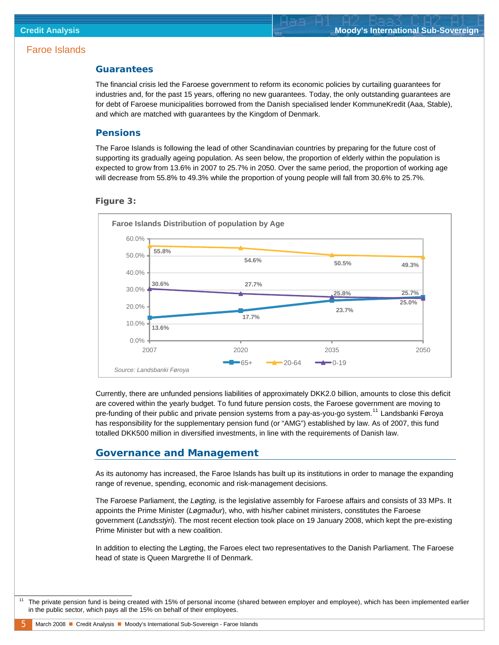#### <span id="page-4-0"></span>**Guarantees**

The financial crisis led the Faroese government to reform its economic policies by curtailing guarantees for industries and, for the past 15 years, offering no new guarantees. Today, the only outstanding guarantees are for debt of Faroese municipalities borrowed from the Danish specialised lender KommuneKredit (Aaa, Stable), and which are matched with guarantees by the Kingdom of Denmark.

#### **Pensions**

The Faroe Islands is following the lead of other Scandinavian countries by preparing for the future cost of supporting its gradually ageing population. As seen below, the proportion of elderly within the population is expected to grow from 13.6% in 2007 to 25.7% in 2050. Over the same period, the proportion of working age will decrease from 55.8% to 49.3% while the proportion of young people will fall from 30.6% to 25.7%.





Currently, there are unfunded pensions liabilities of approximately DKK2.0 billion, amounts to close this deficit are covered within the yearly budget. To fund future pension costs, the Faroese government are moving to pre-funding of their public and private pension systems from a pay-as-you-go system.<sup>[11](#page-4-1)</sup> Landsbanki Føroya has responsibility for the supplementary pension fund (or "AMG") established by law. As of 2007, this fund totalled DKK500 million in diversified investments, in line with the requirements of Danish law.

#### **Governance and Management**

As its autonomy has increased, the Faroe Islands has built up its institutions in order to manage the expanding range of revenue, spending, economic and risk-management decisions.

The Faroese Parliament, the *Løgting,* is the legislative assembly for Faroese affairs and consists of 33 MPs. It appoints the Prime Minister (*Løgmaður*), who, with his/her cabinet ministers, constitutes the Faroese government (*Landsstýri*). The most recent election took place on 19 January 2008, which kept the pre-existing Prime Minister but with a new coalition.

In addition to electing the Løgting, the Faroes elect two representatives to the Danish Parliament. The Faroese head of state is Queen Margrethe II of Denmark.

<span id="page-4-1"></span> <sup>11</sup> The private pension fund is being created with 15% of personal income (shared between employer and employee), which has been implemented earlier in the public sector, which pays all the 15% on behalf of their employees.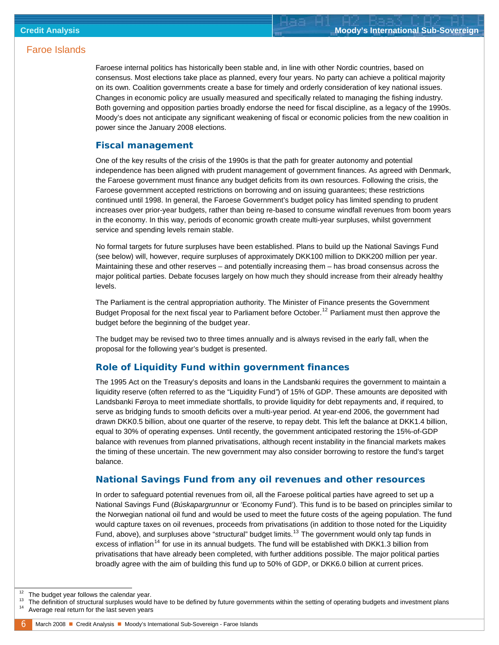Faroese internal politics has historically been stable and, in line with other Nordic countries, based on consensus. Most elections take place as planned, every four years. No party can achieve a political majority on its own. Coalition governments create a base for timely and orderly consideration of key national issues. Changes in economic policy are usually measured and specifically related to managing the fishing industry. Both governing and opposition parties broadly endorse the need for fiscal discipline, as a legacy of the 1990s. Moody's does not anticipate any significant weakening of fiscal or economic policies from the new coalition in power since the January 2008 elections.

#### **Fiscal management**

One of the key results of the crisis of the 1990s is that the path for greater autonomy and potential independence has been aligned with prudent management of government finances. As agreed with Denmark, the Faroese government must finance any budget deficits from its own resources. Following the crisis, the Faroese government accepted restrictions on borrowing and on issuing guarantees; these restrictions continued until 1998. In general, the Faroese Government's budget policy has limited spending to prudent increases over prior-year budgets, rather than being re-based to consume windfall revenues from boom years in the economy. In this way, periods of economic growth create multi-year surpluses, whilst government service and spending levels remain stable.

No formal targets for future surpluses have been established. Plans to build up the National Savings Fund (see below) will, however, require surpluses of approximately DKK100 million to DKK200 million per year. Maintaining these and other reserves – and potentially increasing them – has broad consensus across the major political parties. Debate focuses largely on how much they should increase from their already healthy levels.

The Parliament is the central appropriation authority. The Minister of Finance presents the Government Budget Proposal for the next fiscal year to Parliament before October.<sup>[12](#page-5-0)</sup> Parliament must then approve the budget before the beginning of the budget year.

The budget may be revised two to three times annually and is always revised in the early fall, when the proposal for the following year's budget is presented.

#### **Role of Liquidity Fund within government finances**

The 1995 Act on the Treasury's deposits and loans in the Landsbanki requires the government to maintain a liquidity reserve (often referred to as the "Liquidity Fund*"*) of 15% of GDP. These amounts are deposited with Landsbanki Føroya to meet immediate shortfalls, to provide liquidity for debt repayments and, if required, to serve as bridging funds to smooth deficits over a multi-year period. At year-end 2006, the government had drawn DKK0.5 billion, about one quarter of the reserve, to repay debt. This left the balance at DKK1.4 billion, equal to 30% of operating expenses. Until recently, the government anticipated restoring the 15%-of-GDP balance with revenues from planned privatisations, although recent instability in the financial markets makes the timing of these uncertain. The new government may also consider borrowing to restore the fund's target balance.

#### **National Savings Fund from any oil revenues and other resources**

In order to safeguard potential revenues from oil, all the Faroese political parties have agreed to set up a National Savings Fund (*Búskapargrunnu*r or 'Economy Fund'). This fund is to be based on principles similar to the Norwegian national oil fund and would be used to meet the future costs of the ageing population. The fund would capture taxes on oil revenues, proceeds from privatisations (in addition to those noted for the Liquidity Fund, above), and surpluses above "structural" budget limits.<sup>[13](#page-5-1)</sup> The government would only tap funds in excess of inflation<sup>[14](#page-5-2)</sup> for use in its annual budgets. The fund will be established with DKK1.3 billion from privatisations that have already been completed, with further additions possible. The major political parties broadly agree with the aim of building this fund up to 50% of GDP, or DKK6.0 billion at current prices.

<span id="page-5-0"></span>j

<span id="page-5-2"></span><span id="page-5-1"></span><sup>&</sup>lt;sup>12</sup> The budget year follows the calendar year.<br><sup>13</sup> The definition of structural surpluses would have to be defined by future governments within the setting of operating budgets and investment plans<br><sup>14</sup> Average real retu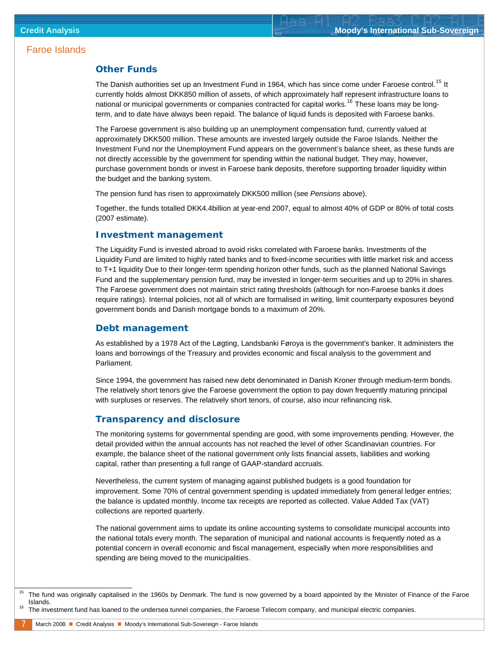#### **Other Funds**

The Danish authorities set up an Investment Fund in 1964, which has since come under Faroese control.<sup>[15](#page-6-0)</sup> It currently holds almost DKK850 million of assets, of which approximately half represent infrastructure loans to national or municipal governments or companies contracted for capital works.<sup>[16](#page-6-1)</sup> These loans may be longterm, and to date have always been repaid. The balance of liquid funds is deposited with Faroese banks.

The Faroese government is also building up an unemployment compensation fund, currently valued at approximately DKK500 million. These amounts are invested largely outside the Faroe Islands. Neither the Investment Fund nor the Unemployment Fund appears on the government's balance sheet, as these funds are not directly accessible by the government for spending within the national budget. They may, however, purchase government bonds or invest in Faroese bank deposits, therefore supporting broader liquidity within the budget and the banking system.

The pension fund has risen to approximately DKK500 million (see *Pensions* above).

Together, the funds totalled DKK4.4billion at year-end 2007, equal to almost 40% of GDP or 80% of total costs (2007 estimate).

#### **Investment management**

The Liquidity Fund is invested abroad to avoid risks correlated with Faroese banks. Investments of the Liquidity Fund are limited to highly rated banks and to fixed-income securities with little market risk and access to T+1 liquidity Due to their longer-term spending horizon other funds, such as the planned National Savings Fund and the supplementary pension fund, may be invested in longer-term securities and up to 20% in shares. The Faroese government does not maintain strict rating thresholds (although for non-Faroese banks it does require ratings). Internal policies, not all of which are formalised in writing, limit counterparty exposures beyond government bonds and Danish mortgage bonds to a maximum of 20%.

#### **Debt management**

As established by a 1978 Act of the Løgting, Landsbanki Føroya is the government's banker. It administers the loans and borrowings of the Treasury and provides economic and fiscal analysis to the government and Parliament.

Since 1994, the government has raised new debt denominated in Danish Kroner through medium-term bonds. The relatively short tenors give the Faroese government the option to pay down frequently maturing principal with surpluses or reserves. The relatively short tenors, of course, also incur refinancing risk.

#### **Transparency and disclosure**

The monitoring systems for governmental spending are good, with some improvements pending. However, the detail provided within the annual accounts has not reached the level of other Scandinavian countries. For example, the balance sheet of the national government only lists financial assets, liabilities and working capital, rather than presenting a full range of GAAP-standard accruals.

Nevertheless, the current system of managing against published budgets is a good foundation for improvement. Some 70% of central government spending is updated immediately from general ledger entries; the balance is updated monthly. Income tax receipts are reported as collected. Value Added Tax (VAT) collections are reported quarterly.

The national government aims to update its online accounting systems to consolidate municipal accounts into the national totals every month. The separation of municipal and national accounts is frequently noted as a potential concern in overall economic and fiscal management, especially when more responsibilities and spending are being moved to the municipalities.

<span id="page-6-0"></span>j

<sup>&</sup>lt;sup>15</sup> The fund was originally capitalised in the 1960s by Denmark. The fund is now governed by a board appointed by the Minister of Finance of the Faroe Islands.<br><sup>16</sup> The investment fund has loaned to the undersea tunnel companies, the Faroese Telecom company, and municipal electric companies.

<span id="page-6-1"></span>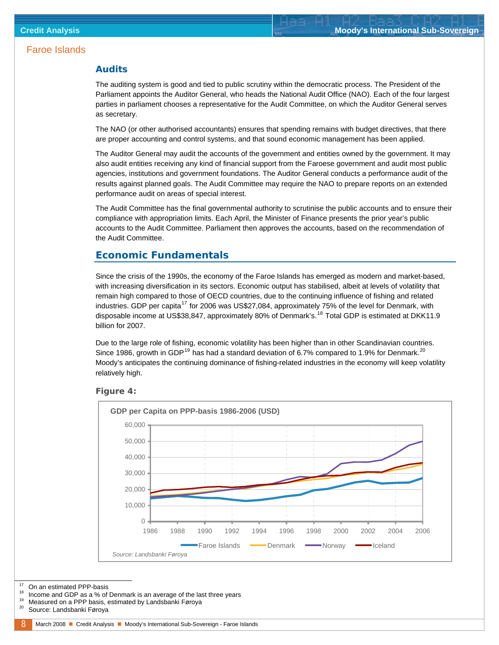#### <span id="page-7-0"></span>**Audits**

The auditing system is good and tied to public scrutiny within the democratic process. The President of the Parliament appoints the Auditor General, who heads the National Audit Office (NAO). Each of the four largest parties in parliament chooses a representative for the Audit Committee, on which the Auditor General serves as secretary.

The NAO (or other authorised accountants) ensures that spending remains with budget directives, that there are proper accounting and control systems, and that sound economic management has been applied.

The Auditor General may audit the accounts of the government and entities owned by the government. It may also audit entities receiving any kind of financial support from the Faroese government and audit most public agencies, institutions and government foundations. The Auditor General conducts a performance audit of the results against planned goals. The Audit Committee may require the NAO to prepare reports on an extended performance audit on areas of special interest.

The Audit Committee has the final governmental authority to scrutinise the public accounts and to ensure their compliance with appropriation limits. Each April, the Minister of Finance presents the prior year's public accounts to the Audit Committee. Parliament then approves the accounts, based on the recommendation of the Audit Committee.

#### **Economic Fundamentals**

Since the crisis of the 1990s, the economy of the Faroe Islands has emerged as modern and market-based, with increasing diversification in its sectors. Economic output has stabilised, albeit at levels of volatility that remain high compared to those of OECD countries, due to the continuing influence of fishing and related industries. GDP per capita<sup>[17](#page-7-1)</sup> for 2006 was US\$27,084, approximately 75% of the level for Denmark, with disposable income at US\$38,847, approximately 80% of Denmark's.<sup>[18](#page-7-2)</sup> Total GDP is estimated at DKK11.9 billion for 2007.

Due to the large role of fishing, economic volatility has been higher than in other Scandinavian countries. Since [19](#page-7-3)86, growth in GDP<sup>19</sup> has had a standard deviation of 6.7% compared to 1.9% for Denmark.<sup>[20](#page-7-4)</sup> Moody's anticipates the continuing dominance of fishing-related industries in the economy will keep volatility relatively high.





- <span id="page-7-4"></span><span id="page-7-3"></span>
- 

<span id="page-7-2"></span><span id="page-7-1"></span><sup>&</sup>lt;sup>17</sup> On an estimated PPP-basis<br><sup>18</sup> Income and GDP as a % of Denmark is an average of the last three years<br><sup>19</sup> Measured on a PPP basis, estimated by Landsbanki Føroya<br><sup>20</sup> Source: Landsbanki Føroya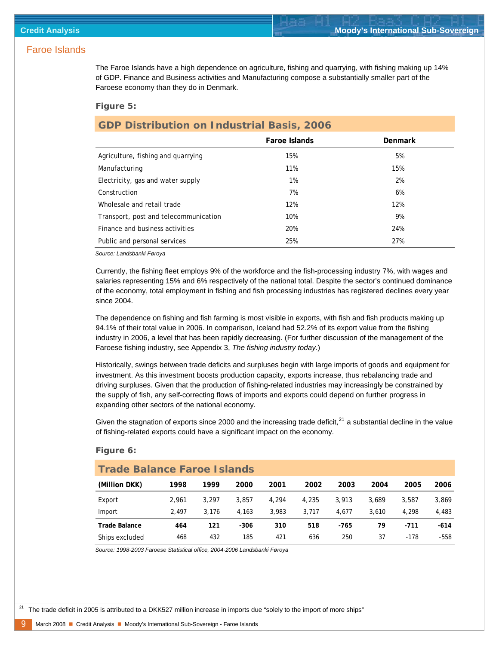The Faroe Islands have a high dependence on agriculture, fishing and quarrying, with fishing making up 14% of GDP. Finance and Business activities and Manufacturing compose a substantially smaller part of the Faroese economy than they do in Denmark.

#### *Figure 5:*

### **GDP Distribution on Industrial Basis, 2006**

|                                       | Faroe Islands | Denmark |
|---------------------------------------|---------------|---------|
| Agriculture, fishing and quarrying    | 15%           | 5%      |
| Manufacturing                         | 11%           | 15%     |
| Electricity, gas and water supply     | $1\%$         | 2%      |
| Construction                          | 7%            | 6%      |
| Wholesale and retail trade            | 12%           | 12%     |
| Transport, post and telecommunication | 10%           | 9%      |
| Finance and business activities       | 20%           | 24%     |
| Public and personal services          | 25%           | 27%     |

*Source: Landsbanki Føroya*

Currently, the fishing fleet employs 9% of the workforce and the fish-processing industry 7%, with wages and salaries representing 15% and 6% respectively of the national total. Despite the sector's continued dominance of the economy, total employment in fishing and fish processing industries has registered declines every year since 2004.

The dependence on fishing and fish farming is most visible in exports, with fish and fish products making up 94.1% of their total value in 2006. In comparison, Iceland had 52.2% of its export value from the fishing industry in 2006, a level that has been rapidly decreasing. (For further discussion of the management of the Faroese fishing industry, see Appendix 3, *The fishing industry today.*)

Historically, swings between trade deficits and surpluses begin with large imports of goods and equipment for investment. As this investment boosts production capacity, exports increase, thus rebalancing trade and driving surpluses. Given that the production of fishing-related industries may increasingly be constrained by the supply of fish, any self-correcting flows of imports and exports could depend on further progress in expanding other sectors of the national economy.

Given the stagnation of exports since 2000 and the increasing trade deficit, $^{21}$  $^{21}$  $^{21}$  a substantial decline in the value of fishing-related exports could have a significant impact on the economy.

| <b>Trade Balance Faroe Islands</b> |       |       |        |       |       |       |       |        |        |
|------------------------------------|-------|-------|--------|-------|-------|-------|-------|--------|--------|
| (Million DKK)                      | 1998  | 1999  | 2000   | 2001  | 2002  | 2003  | 2004  | 2005   | 2006   |
| Export                             | 2.961 | 3.297 | 3.857  | 4.294 | 4,235 | 3,913 | 3.689 | 3.587  | 3,869  |
| Import                             | 2.497 | 3.176 | 4.163  | 3.983 | 3.717 | 4.677 | 3.610 | 4.298  | 4,483  |
| Trade Balance                      | 464   | 121   | $-306$ | 310   | 518   | -765  | 79    | $-711$ | $-614$ |
| Ships excluded                     | 468   | 432   | 185    | 421   | 636   | 250   | 37    | $-178$ | $-558$ |

#### *Figure 6:*

*Source: 1998-2003 Faroese Statistical office, 2004-2006 Landsbanki Føroya*

<span id="page-8-0"></span><sup>21</sup> The trade deficit in 2005 is attributed to a DKK527 million increase in imports due "solely to the import of more ships"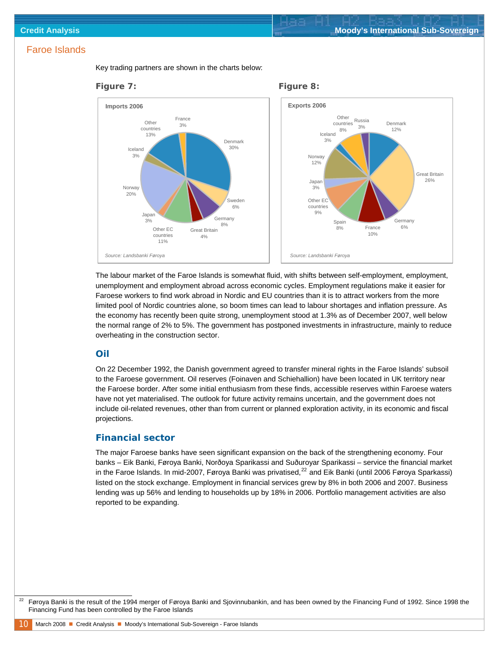

Key trading partners are shown in the charts below:

The labour market of the Faroe Islands is somewhat fluid, with shifts between self-employment, employment, unemployment and employment abroad across economic cycles. Employment regulations make it easier for Faroese workers to find work abroad in Nordic and EU countries than it is to attract workers from the more limited pool of Nordic countries alone, so boom times can lead to labour shortages and inflation pressure. As the economy has recently been quite strong, unemployment stood at 1.3% as of December 2007, well below the normal range of 2% to 5%. The government has postponed investments in infrastructure, mainly to reduce overheating in the construction sector.

#### **Oil**

On 22 December 1992, the Danish government agreed to transfer mineral rights in the Faroe Islands' subsoil to the Faroese government. Oil reserves (Foinaven and Schiehallion) have been located in UK territory near the Faroese border. After some initial enthusiasm from these finds, accessible reserves within Faroese waters have not yet materialised. The outlook for future activity remains uncertain, and the government does not include oil-related revenues, other than from current or planned exploration activity, in its economic and fiscal projections.

#### **Financial sector**

The major Faroese banks have seen significant expansion on the back of the strengthening economy. Four banks – Eik Banki, Føroya Banki, Norðoya Sparikassi and Suðuroyar Sparikassi – service the financial market in the Faroe Islands. In mid-2007, Føroya Banki was privatised, $^{22}$  $^{22}$  $^{22}$  and Eik Banki (until 2006 Føroya Sparkassi) listed on the stock exchange. Employment in financial services grew by 8% in both 2006 and 2007. Business lending was up 56% and lending to households up by 18% in 2006. Portfolio management activities are also reported to be expanding.

<span id="page-9-0"></span> <sup>22</sup> Føroya Banki is the result of the 1994 merger of Føroya Banki and Sjovinnubankin, and has been owned by the Financing Fund of 1992. Since 1998 the Financing Fund has been controlled by the Faroe Islands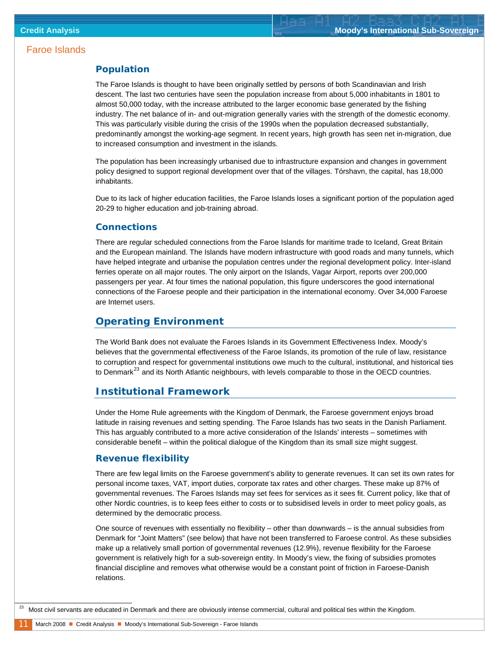#### <span id="page-10-0"></span>**Population**

The Faroe Islands is thought to have been originally settled by persons of both Scandinavian and Irish descent. The last two centuries have seen the population increase from about 5,000 inhabitants in 1801 to almost 50,000 today, with the increase attributed to the larger economic base generated by the fishing industry. The net balance of in- and out-migration generally varies with the strength of the domestic economy. This was particularly visible during the crisis of the 1990s when the population decreased substantially, predominantly amongst the working-age segment. In recent years, high growth has seen net in-migration, due to increased consumption and investment in the islands.

The population has been increasingly urbanised due to infrastructure expansion and changes in government policy designed to support regional development over that of the villages. Tórshavn, the capital, has 18,000 inhabitants.

Due to its lack of higher education facilities, the Faroe Islands loses a significant portion of the population aged 20-29 to higher education and job-training abroad.

#### **Connections**

There are regular scheduled connections from the Faroe Islands for maritime trade to Iceland, Great Britain and the European mainland. The Islands have modern infrastructure with good roads and many tunnels, which have helped integrate and urbanise the population centres under the regional development policy. Inter-island ferries operate on all major routes. The only airport on the Islands, Vagar Airport, reports over 200,000 passengers per year. At four times the national population, this figure underscores the good international connections of the Faroese people and their participation in the international economy. Over 34,000 Faroese are Internet users.

#### **Operating Environment**

The World Bank does not evaluate the Faroes Islands in its Government Effectiveness Index. Moody's believes that the governmental effectiveness of the Faroe Islands, its promotion of the rule of law, resistance to corruption and respect for governmental institutions owe much to the cultural, institutional, and historical ties to Denmark $^{23}$  $^{23}$  $^{23}$  and its North Atlantic neighbours, with levels comparable to those in the OECD countries.

#### **Institutional Framework**

Under the Home Rule agreements with the Kingdom of Denmark, the Faroese government enjoys broad latitude in raising revenues and setting spending. The Faroe Islands has two seats in the Danish Parliament. This has arguably contributed to a more active consideration of the Islands' interests – sometimes with considerable benefit – within the political dialogue of the Kingdom than its small size might suggest.

#### **Revenue flexibility**

There are few legal limits on the Faroese government's ability to generate revenues. It can set its own rates for personal income taxes, VAT, import duties, corporate tax rates and other charges. These make up 87% of governmental revenues. The Faroes Islands may set fees for services as it sees fit. Current policy, like that of other Nordic countries, is to keep fees either to costs or to subsidised levels in order to meet policy goals, as determined by the democratic process.

One source of revenues with essentially no flexibility – other than downwards – is the annual subsidies from Denmark for "Joint Matters" (see below) that have not been transferred to Faroese control. As these subsidies make up a relatively small portion of governmental revenues (12.9%), revenue flexibility for the Faroese government is relatively high for a sub-sovereign entity. In Moody's view, the fixing of subsidies promotes financial discipline and removes what otherwise would be a constant point of friction in Faroese-Danish relations.

<span id="page-10-1"></span><sup>&</sup>lt;sup>23</sup> Most civil servants are educated in Denmark and there are obviously intense commercial, cultural and political ties within the Kingdom.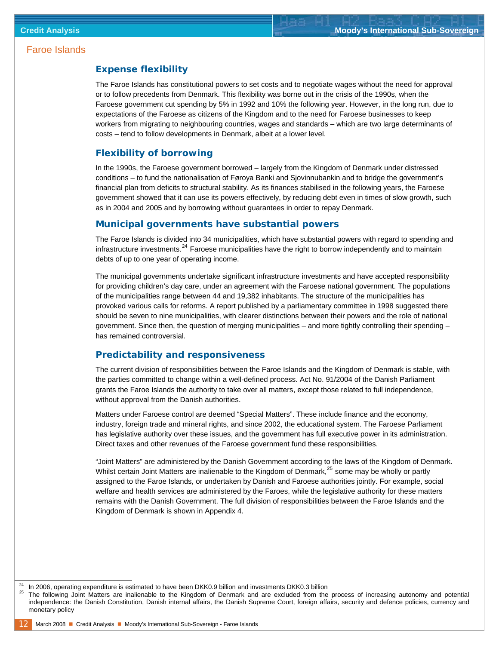#### **Expense flexibility**

The Faroe Islands has constitutional powers to set costs and to negotiate wages without the need for approval or to follow precedents from Denmark. This flexibility was borne out in the crisis of the 1990s, when the Faroese government cut spending by 5% in 1992 and 10% the following year. However, in the long run, due to expectations of the Faroese as citizens of the Kingdom and to the need for Faroese businesses to keep workers from migrating to neighbouring countries, wages and standards – which are two large determinants of costs – tend to follow developments in Denmark, albeit at a lower level.

#### **Flexibility of borrowing**

In the 1990s, the Faroese government borrowed – largely from the Kingdom of Denmark under distressed conditions – to fund the nationalisation of Føroya Banki and Sjovinnubankin and to bridge the government's financial plan from deficits to structural stability. As its finances stabilised in the following years, the Faroese government showed that it can use its powers effectively, by reducing debt even in times of slow growth, such as in 2004 and 2005 and by borrowing without guarantees in order to repay Denmark.

#### **Municipal governments have substantial powers**

The Faroe Islands is divided into 34 municipalities, which have substantial powers with regard to spending and infrastructure investments.<sup>[24](#page-11-0)</sup> Faroese municipalities have the right to borrow independently and to maintain debts of up to one year of operating income.

The municipal governments undertake significant infrastructure investments and have accepted responsibility for providing children's day care, under an agreement with the Faroese national government. The populations of the municipalities range between 44 and 19,382 inhabitants. The structure of the municipalities has provoked various calls for reforms. A report published by a parliamentary committee in 1998 suggested there should be seven to nine municipalities, with clearer distinctions between their powers and the role of national government. Since then, the question of merging municipalities – and more tightly controlling their spending – has remained controversial.

#### **Predictability and responsiveness**

The current division of responsibilities between the Faroe Islands and the Kingdom of Denmark is stable, with the parties committed to change within a well-defined process. Act No. 91/2004 of the Danish Parliament grants the Faroe Islands the authority to take over all matters, except those related to full independence, without approval from the Danish authorities.

Matters under Faroese control are deemed "Special Matters". These include finance and the economy, industry, foreign trade and mineral rights, and since 2002, the educational system. The Faroese Parliament has legislative authority over these issues, and the government has full executive power in its administration. Direct taxes and other revenues of the Faroese government fund these responsibilities.

"Joint Matters" are administered by the Danish Government according to the laws of the Kingdom of Denmark. Whilst certain Joint Matters are inalienable to the Kingdom of Denmark,<sup>[25](#page-11-1)</sup> some may be wholly or partly assigned to the Faroe Islands, or undertaken by Danish and Faroese authorities jointly. For example, social welfare and health services are administered by the Faroes, while the legislative authority for these matters remains with the Danish Government. The full division of responsibilities between the Faroe Islands and the Kingdom of Denmark is shown in Appendix 4.

<span id="page-11-0"></span>l

<span id="page-11-1"></span>

In 2006, operating expenditure is estimated to have been DKK0.9 billion and investments DKK0.3 billion<br>The following Joint Matters are inalienable to the Kingdom of Denmark and are excluded from the process of increasing a independence: the Danish Constitution, Danish internal affairs, the Danish Supreme Court, foreign affairs, security and defence policies, currency and monetary policy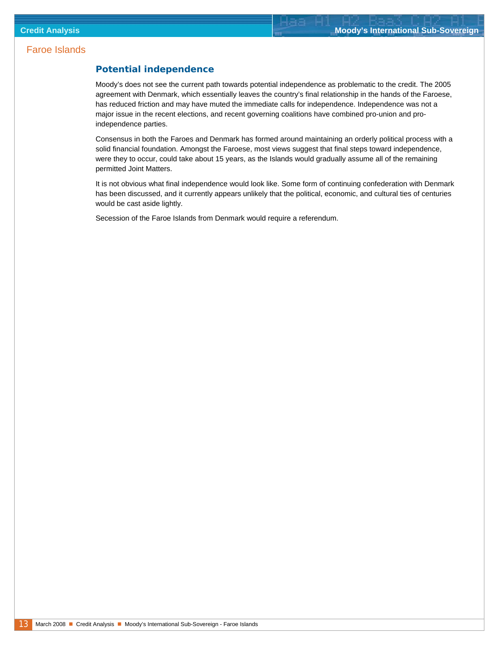#### **Potential independence**

Moody's does not see the current path towards potential independence as problematic to the credit. The 2005 agreement with Denmark, which essentially leaves the country's final relationship in the hands of the Faroese, has reduced friction and may have muted the immediate calls for independence. Independence was not a major issue in the recent elections, and recent governing coalitions have combined pro-union and proindependence parties.

Consensus in both the Faroes and Denmark has formed around maintaining an orderly political process with a solid financial foundation. Amongst the Faroese, most views suggest that final steps toward independence, were they to occur, could take about 15 years, as the Islands would gradually assume all of the remaining permitted Joint Matters.

It is not obvious what final independence would look like. Some form of continuing confederation with Denmark has been discussed, and it currently appears unlikely that the political, economic, and cultural ties of centuries would be cast aside lightly.

Secession of the Faroe Islands from Denmark would require a referendum.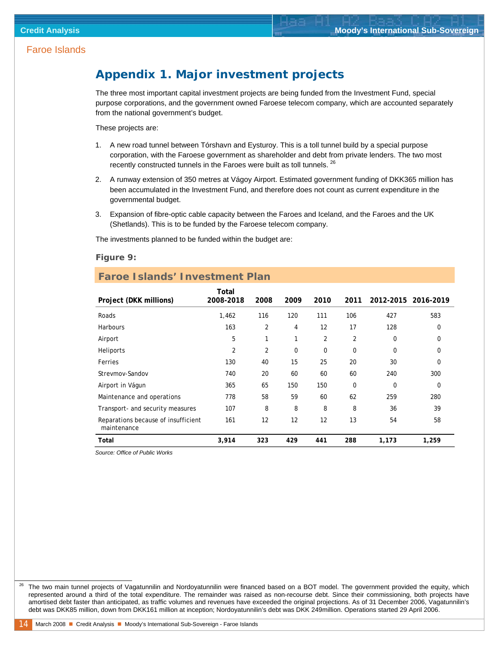### <span id="page-13-0"></span>**Appendix 1. Major investment projects**

The three most important capital investment projects are being funded from the Investment Fund, special purpose corporations, and the government owned Faroese telecom company, which are accounted separately from the national government's budget.

These projects are:

- 1. A new road tunnel between Tórshavn and Eysturoy. This is a toll tunnel build by a special purpose corporation, with the Faroese government as shareholder and debt from private lenders. The two most recently constructed tunnels in the Faroes were built as toll tunnels. [26](#page-13-1)
- 2. A runway extension of 350 metres at Vágoy Airport. Estimated government funding of DKK365 million has been accumulated in the Investment Fund, and therefore does not count as current expenditure in the governmental budget.
- 3. Expansion of fibre-optic cable capacity between the Faroes and Iceland, and the Faroes and the UK (Shetlands). This is to be funded by the Faroese telecom company.

The investments planned to be funded within the budget are:

#### *Figure 9:*

#### **Faroe Islands' Investment Plan**

| Project (DKK millions)                             | Total<br>2008-2018 | 2008           | 2009     | 2010     | 2011 | 2012-2015 2016-2019 |             |
|----------------------------------------------------|--------------------|----------------|----------|----------|------|---------------------|-------------|
| Roads                                              | 1,462              | 116            | 120      | 111      | 106  | 427                 | 583         |
| <b>Harbours</b>                                    | 163                | $\overline{2}$ | 4        | 12       | 17   | 128                 | $\Omega$    |
| Airport                                            | 5                  | $\mathbf{1}$   | 1        | 2        | 2    | 0                   | 0           |
| Heliports                                          | $\overline{2}$     | $\overline{2}$ | $\Omega$ | $\Omega$ | 0    | 0                   | 0           |
| Ferries                                            | 130                | 40             | 15       | 25       | 20   | 30                  | $\Omega$    |
| Strevmov-Sandov                                    | 740                | 20             | 60       | 60       | 60   | 240                 | 300         |
| Airport in Vágun                                   | 365                | 65             | 150      | 150      | 0    | $\mathbf 0$         | $\mathbf 0$ |
| Maintenance and operations                         | 778                | 58             | 59       | 60       | 62   | 259                 | 280         |
| Transport- and security measures                   | 107                | 8              | 8        | 8        | 8    | 36                  | 39          |
| Reparations because of insufficient<br>maintenance | 161                | 12             | 12       | 12       | 13   | 54                  | 58          |
| Total                                              | 3,914              | 323            | 429      | 441      | 288  | 1,173               | 1,259       |

*Source: Office of Public Works*

<span id="page-13-1"></span><sup>26</sup> The two main tunnel projects of Vagatunnilin and Nordoyatunnilin were financed based on a BOT model. The government provided the equity, which represented around a third of the total expenditure. The remainder was raised as non-recourse debt. Since their commissioning, both projects have amortised debt faster than anticipated, as traffic volumes and revenues have exceeded the original projections. As of 31 December 2006, Vagatunnilin's debt was DKK85 million, down from DKK161 million at inception; Nordoyatunnilin's debt was DKK 249million. Operations started 29 April 2006.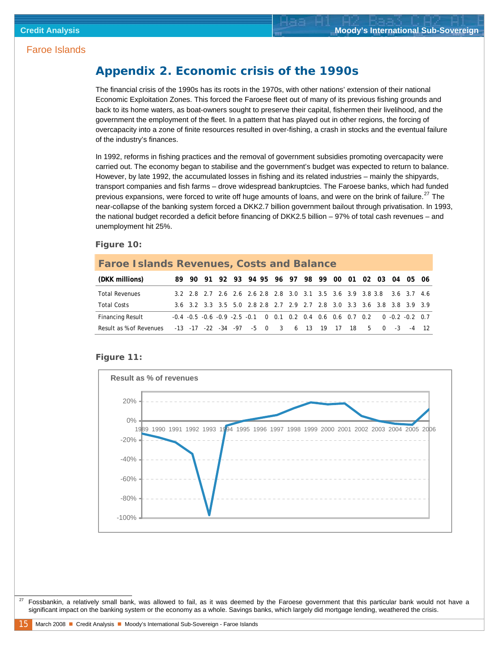### **Appendix 2. Economic crisis of the 1990s**

The financial crisis of the 1990s has its roots in the 1970s, with other nations' extension of their national Economic Exploitation Zones. This forced the Faroese fleet out of many of its previous fishing grounds and back to its home waters, as boat-owners sought to preserve their capital, fishermen their livelihood, and the government the employment of the fleet. In a pattern that has played out in other regions, the forcing of overcapacity into a zone of finite resources resulted in over-fishing, a crash in stocks and the eventual failure of the industry's finances.

In 1992, reforms in fishing practices and the removal of government subsidies promoting overcapacity were carried out. The economy began to stabilise and the government's budget was expected to return to balance. However, by late 1992, the accumulated losses in fishing and its related industries – mainly the shipyards, transport companies and fish farms – drove widespread bankruptcies. The Faroese banks, which had funded previous expansions, were forced to write off huge amounts of loans, and were on the brink of failure.<sup>[27](#page-14-0)</sup> The near-collapse of the banking system forced a DKK2.7 billion government bailout through privatisation. In 1993, the national budget recorded a deficit before financing of DKK2.5 billion – 97% of total cash revenues – and unemployment hit 25%.

#### *Figure 10:*

| <b>Faroe Islands Revenues, Costs and Balance</b>                 |  |  |  |  |  |  |  |  |                                                                                             |  |
|------------------------------------------------------------------|--|--|--|--|--|--|--|--|---------------------------------------------------------------------------------------------|--|
| (DKK millions)                                                   |  |  |  |  |  |  |  |  | 89 90 91 92 93 94 95 96 97 98 99 00 01 02 03 04 05 06                                       |  |
| <b>Total Revenues</b>                                            |  |  |  |  |  |  |  |  | 3.2 2.8 2.7 2.6 2.6 2.6 2.8 2.8 3.0 3.1 3.5 3.6 3.9 3.8 3.8 3.6 3.7 4.6                     |  |
| <b>Total Costs</b>                                               |  |  |  |  |  |  |  |  | 3.6 3.2 3.3 3.5 5.0 2.8 2.8 2.7 2.9 2.7 2.8 3.0 3.3 3.6 3.8 3.8 3.9 3.9                     |  |
| <b>Financing Result</b>                                          |  |  |  |  |  |  |  |  | $-0.4$ $-0.5$ $-0.6$ $-0.9$ $-2.5$ $-0.1$ 0 0.1 0.2 0.4 0.6 0.6 0.7 0.2 0 $-0.2$ $-0.2$ 0.7 |  |
| Result as % of Revenues -13 -17 -22 -34 -97 -5 0 3 6 13 19 17 18 |  |  |  |  |  |  |  |  | 5 0 -3 -4 12                                                                                |  |

#### *Figure 11:*



<span id="page-14-0"></span> 27 Fossbankin, a relatively small bank, was allowed to fail, as it was deemed by the Faroese government that this particular bank would not have a significant impact on the banking system or the economy as a whole. Savings banks, which largely did mortgage lending, weathered the crisis.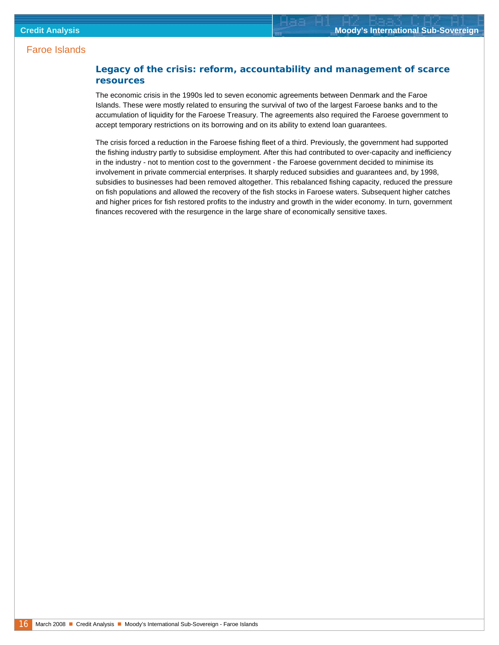#### **Legacy of the crisis: reform, accountability and management of scarce resources**

The economic crisis in the 1990s led to seven economic agreements between Denmark and the Faroe Islands. These were mostly related to ensuring the survival of two of the largest Faroese banks and to the accumulation of liquidity for the Faroese Treasury. The agreements also required the Faroese government to accept temporary restrictions on its borrowing and on its ability to extend loan guarantees.

The crisis forced a reduction in the Faroese fishing fleet of a third. Previously, the government had supported the fishing industry partly to subsidise employment. After this had contributed to over-capacity and inefficiency in the industry - not to mention cost to the government - the Faroese government decided to minimise its involvement in private commercial enterprises. It sharply reduced subsidies and guarantees and, by 1998, subsidies to businesses had been removed altogether. This rebalanced fishing capacity, reduced the pressure on fish populations and allowed the recovery of the fish stocks in Faroese waters. Subsequent higher catches and higher prices for fish restored profits to the industry and growth in the wider economy. In turn, government finances recovered with the resurgence in the large share of economically sensitive taxes.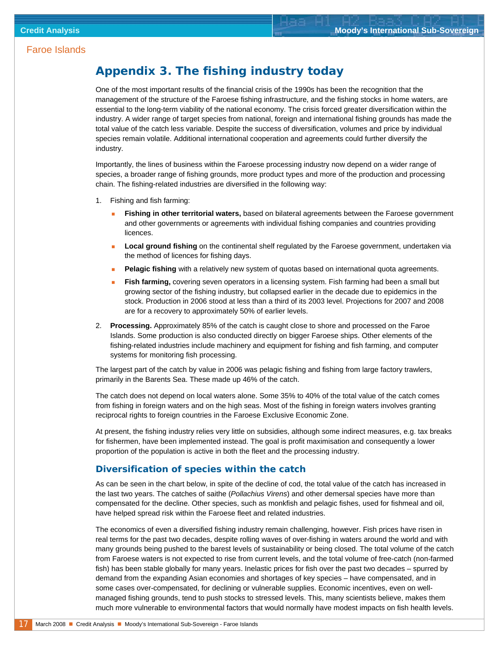### **Appendix 3. The fishing industry today**

One of the most important results of the financial crisis of the 1990s has been the recognition that the management of the structure of the Faroese fishing infrastructure, and the fishing stocks in home waters, are essential to the long-term viability of the national economy. The crisis forced greater diversification within the industry. A wider range of target species from national, foreign and international fishing grounds has made the total value of the catch less variable. Despite the success of diversification, volumes and price by individual species remain volatile. Additional international cooperation and agreements could further diversify the industry.

Importantly, the lines of business within the Faroese processing industry now depend on a wider range of species, a broader range of fishing grounds, more product types and more of the production and processing chain. The fishing-related industries are diversified in the following way:

- 1. Fishing and fish farming:
	- **Fishing in other territorial waters,** based on bilateral agreements between the Faroese government and other governments or agreements with individual fishing companies and countries providing licences.
	- **Local ground fishing** on the continental shelf regulated by the Faroese government, undertaken via the method of licences for fishing days.
	- **Pelagic fishing** with a relatively new system of quotas based on international quota agreements.
	- **Fish farming,** covering seven operators in a licensing system. Fish farming had been a small but growing sector of the fishing industry, but collapsed earlier in the decade due to epidemics in the stock. Production in 2006 stood at less than a third of its 2003 level. Projections for 2007 and 2008 are for a recovery to approximately 50% of earlier levels.
- 2. **Processing.** Approximately 85% of the catch is caught close to shore and processed on the Faroe Islands. Some production is also conducted directly on bigger Faroese ships. Other elements of the fishing-related industries include machinery and equipment for fishing and fish farming, and computer systems for monitoring fish processing.

The largest part of the catch by value in 2006 was pelagic fishing and fishing from large factory trawlers, primarily in the Barents Sea. These made up 46% of the catch.

The catch does not depend on local waters alone. Some 35% to 40% of the total value of the catch comes from fishing in foreign waters and on the high seas. Most of the fishing in foreign waters involves granting reciprocal rights to foreign countries in the Faroese Exclusive Economic Zone.

At present, the fishing industry relies very little on subsidies, although some indirect measures, e.g. tax breaks for fishermen, have been implemented instead. The goal is profit maximisation and consequently a lower proportion of the population is active in both the fleet and the processing industry.

#### **Diversification of species within the catch**

As can be seen in the chart below, in spite of the decline of cod, the total value of the catch has increased in the last two years. The catches of saithe (*Pollachius Virens*) and other demersal species have more than compensated for the decline. Other species, such as monkfish and pelagic fishes, used for fishmeal and oil, have helped spread risk within the Faroese fleet and related industries.

The economics of even a diversified fishing industry remain challenging, however. Fish prices have risen in real terms for the past two decades, despite rolling waves of over-fishing in waters around the world and with many grounds being pushed to the barest levels of sustainability or being closed. The total volume of the catch from Faroese waters is not expected to rise from current levels, and the total volume of free-catch (non-farmed fish) has been stable globally for many years. Inelastic prices for fish over the past two decades – spurred by demand from the expanding Asian economies and shortages of key species – have compensated, and in some cases over-compensated, for declining or vulnerable supplies. Economic incentives, even on wellmanaged fishing grounds, tend to push stocks to stressed levels. This, many scientists believe, makes them much more vulnerable to environmental factors that would normally have modest impacts on fish health levels.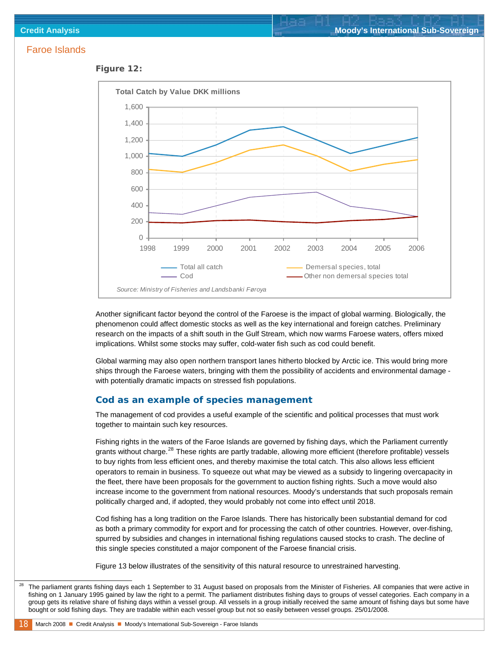#### *Figure 12:*



Another significant factor beyond the control of the Faroese is the impact of global warming. Biologically, the phenomenon could affect domestic stocks as well as the key international and foreign catches. Preliminary research on the impacts of a shift south in the Gulf Stream, which now warms Faroese waters, offers mixed implications. Whilst some stocks may suffer, cold-water fish such as cod could benefit.

Global warming may also open northern transport lanes hitherto blocked by Arctic ice. This would bring more ships through the Faroese waters, bringing with them the possibility of accidents and environmental damage with potentially dramatic impacts on stressed fish populations.

#### **Cod as an example of species management**

The management of cod provides a useful example of the scientific and political processes that must work together to maintain such key resources.

Fishing rights in the waters of the Faroe Islands are governed by fishing days, which the Parliament currently grants without charge.<sup>[28](#page-17-0)</sup> These rights are partly tradable, allowing more efficient (therefore profitable) vessels to buy rights from less efficient ones, and thereby maximise the total catch. This also allows less efficient operators to remain in business. To squeeze out what may be viewed as a subsidy to lingering overcapacity in the fleet, there have been proposals for the government to auction fishing rights. Such a move would also increase income to the government from national resources. Moody's understands that such proposals remain politically charged and, if adopted, they would probably not come into effect until 2018.

Cod fishing has a long tradition on the Faroe Islands. There has historically been substantial demand for cod as both a primary commodity for export and for processing the catch of other countries. However, over-fishing, spurred by subsidies and changes in international fishing regulations caused stocks to crash. The decline of this single species constituted a major component of the Faroese financial crisis.

Figure 13 below illustrates of the sensitivity of this natural resource to unrestrained harvesting.

<span id="page-17-0"></span><sup>&</sup>lt;sup>28</sup> The parliament grants fishing days each 1 September to 31 August based on proposals from the Minister of Fisheries. All companies that were active in fishing on 1 January 1995 gained by law the right to a permit. The parliament distributes fishing days to groups of vessel categories. Each company in a group gets its relative share of fishing days within a vessel group. All vessels in a group initially received the same amount of fishing days but some have bought or sold fishing days. They are tradable within each vessel group but not so easily between vessel groups. 25/01/2008.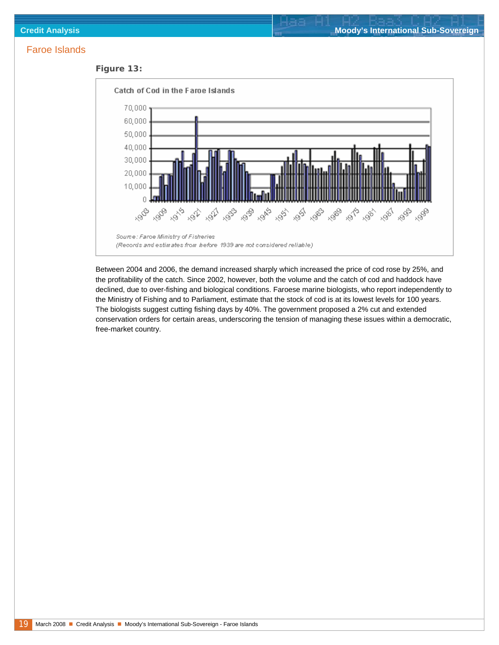



Between 2004 and 2006, the demand increased sharply which increased the price of cod rose by 25%, and the profitability of the catch. Since 2002, however, both the volume and the catch of cod and haddock have declined, due to over-fishing and biological conditions. Faroese marine biologists, who report independently to the Ministry of Fishing and to Parliament, estimate that the stock of cod is at its lowest levels for 100 years. The biologists suggest cutting fishing days by 40%. The government proposed a 2% cut and extended conservation orders for certain areas, underscoring the tension of managing these issues within a democratic, free-market country.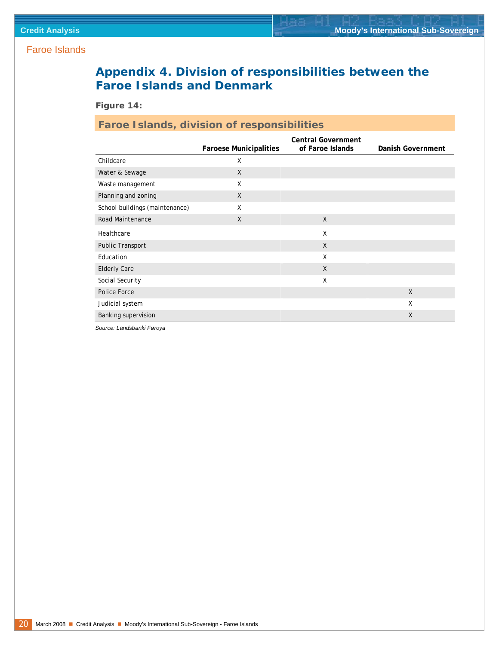## **Appendix 4. Division of responsibilities between the Faroe Islands and Denmark**

*Figure 14:* 

### **Faroe Islands, division of responsibilities**

|                                |                               | <b>Central Government</b> |                   |
|--------------------------------|-------------------------------|---------------------------|-------------------|
|                                | <b>Faroese Municipalities</b> | of Faroe Islands          | Danish Government |
| Childcare                      | X                             |                           |                   |
| Water & Sewage                 | $\mathsf{X}$                  |                           |                   |
| Waste management               | X                             |                           |                   |
| Planning and zoning            | X                             |                           |                   |
| School buildings (maintenance) | X                             |                           |                   |
| <b>Road Maintenance</b>        | X                             | $\mathsf{X}$              |                   |
| Healthcare                     |                               | X                         |                   |
| <b>Public Transport</b>        |                               | $\mathsf{X}$              |                   |
| Education                      |                               | X                         |                   |
| <b>Elderly Care</b>            |                               | $\mathsf{X}$              |                   |
| Social Security                |                               | X                         |                   |
| Police Force                   |                               |                           | $\mathsf{X}$      |
| Judicial system                |                               |                           | Χ                 |
| Banking supervision            |                               |                           | X                 |

*Source: Landsbanki Føroya*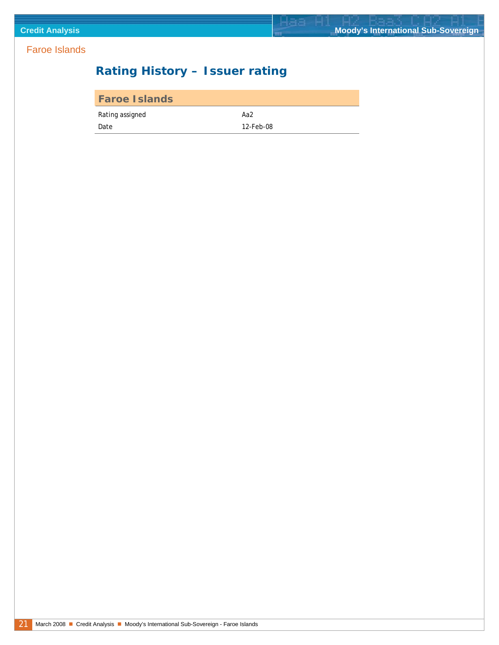## <span id="page-20-0"></span>**Rating History – Issuer rating**

| <b>Faroe Islands</b> |           |
|----------------------|-----------|
| Rating assigned      | Aa2       |
| Date                 | 12-Feb-08 |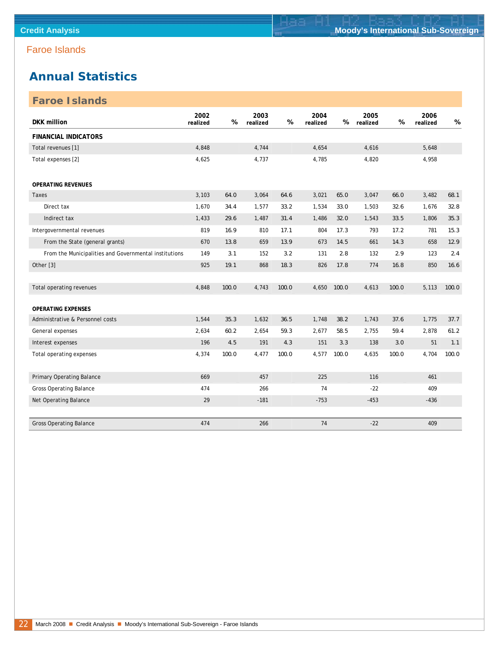### <span id="page-21-0"></span>**Annual Statistics**

| <b>Faroe Islands</b>                                  |                  |       |                  |       |                  |       |                  |       |                  |       |
|-------------------------------------------------------|------------------|-------|------------------|-------|------------------|-------|------------------|-------|------------------|-------|
| <b>DKK</b> million                                    | 2002<br>realized | $\%$  | 2003<br>realized | $\%$  | 2004<br>realized | $\%$  | 2005<br>realized | %     | 2006<br>realized | $\%$  |
| <b>FINANCIAL INDICATORS</b>                           |                  |       |                  |       |                  |       |                  |       |                  |       |
| Total revenues [1]                                    | 4,848            |       | 4,744            |       | 4,654            |       | 4,616            |       | 5,648            |       |
| Total expenses [2]                                    | 4,625            |       | 4,737            |       | 4,785            |       | 4,820            |       | 4,958            |       |
| <b>OPERATING REVENUES</b>                             |                  |       |                  |       |                  |       |                  |       |                  |       |
| Taxes                                                 | 3,103            | 64.0  | 3,064            | 64.6  | 3,021            | 65.0  | 3,047            | 66.0  | 3,482            | 68.1  |
| Direct tax                                            | 1,670            | 34.4  | 1,577            | 33.2  | 1,534            | 33.0  | 1,503            | 32.6  | 1,676            | 32.8  |
| Indirect tax                                          | 1,433            | 29.6  | 1,487            | 31.4  | 1,486            | 32.0  | 1,543            | 33.5  | 1,806            | 35.3  |
| Intergovernmental revenues                            | 819              | 16.9  | 810              | 17.1  | 804              | 17.3  | 793              | 17.2  | 781              | 15.3  |
| From the State (general grants)                       | 670              | 13.8  | 659              | 13.9  | 673              | 14.5  | 661              | 14.3  | 658              | 12.9  |
| From the Municipalities and Governmental institutions | 149              | 3.1   | 152              | 3.2   | 131              | 2.8   | 132              | 2.9   | 123              | 2.4   |
| Other [3]                                             | 925              | 19.1  | 868              | 18.3  | 826              | 17.8  | 774              | 16.8  | 850              | 16.6  |
|                                                       |                  |       |                  |       |                  |       |                  |       |                  |       |
| Total operating revenues                              | 4,848            | 100.0 | 4,743            | 100.0 | 4,650            | 100.0 | 4,613            | 100.0 | 5,113            | 100.0 |
| <b>OPERATING EXPENSES</b>                             |                  |       |                  |       |                  |       |                  |       |                  |       |
| Administrative & Personnel costs                      | 1,544            | 35.3  | 1,632            | 36.5  | 1,748            | 38.2  | 1,743            | 37.6  | 1,775            | 37.7  |
| General expenses                                      | 2,634            | 60.2  | 2,654            | 59.3  | 2,677            | 58.5  | 2,755            | 59.4  | 2,878            | 61.2  |
| Interest expenses                                     | 196              | 4.5   | 191              | 4.3   | 151              | 3.3   | 138              | 3.0   | 51               | 1.1   |
| Total operating expenses                              | 4,374            | 100.0 | 4,477            | 100.0 | 4,577            | 100.0 | 4,635            | 100.0 | 4,704            | 100.0 |
|                                                       |                  |       |                  |       |                  |       |                  |       |                  |       |
| Primary Operating Balance                             | 669              |       | 457              |       | 225              |       | 116              |       | 461              |       |
| <b>Gross Operating Balance</b>                        | 474              |       | 266              |       | 74               |       | $-22$            |       | 409              |       |
| Net Operating Balance                                 | 29               |       | $-181$           |       | $-753$           |       | $-453$           |       | $-436$           |       |
|                                                       |                  |       |                  |       |                  |       |                  |       |                  |       |
| <b>Gross Operating Balance</b>                        | 474              |       | 266              |       | 74               |       | $-22$            |       | 409              |       |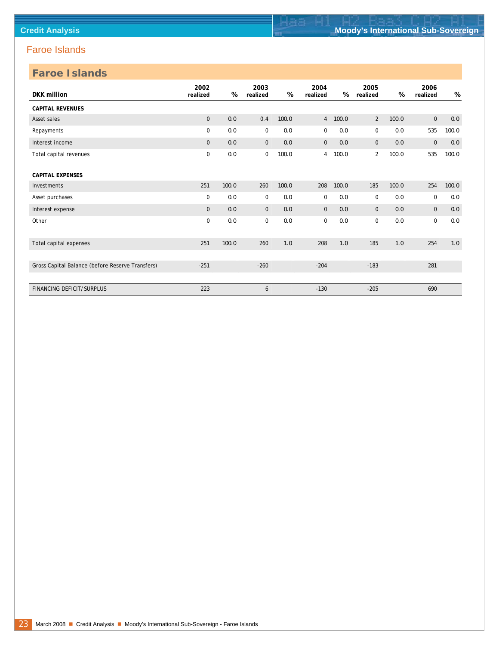| <b>Faroe Islands</b>                             |                  |       |                  |       |                  |       |                  |       |                  |       |
|--------------------------------------------------|------------------|-------|------------------|-------|------------------|-------|------------------|-------|------------------|-------|
| DKK million                                      | 2002<br>realized | %     | 2003<br>realized | %     | 2004<br>realized | %     | 2005<br>realized | %     | 2006<br>realized | %     |
| <b>CAPITAL REVENUES</b>                          |                  |       |                  |       |                  |       |                  |       |                  |       |
| Asset sales                                      | $\mathbf{0}$     | 0.0   | 0.4              | 100.0 | $\overline{4}$   | 100.0 | 2                | 100.0 | $\mathbf 0$      | 0.0   |
| Repayments                                       | $\mathbf 0$      | 0.0   | $\mathbf 0$      | 0.0   | 0                | 0.0   | 0                | 0.0   | 535              | 100.0 |
| Interest income                                  | $\mathbf{0}$     | 0.0   | $\mathbf{0}$     | 0.0   | $\mathbf{0}$     | 0.0   | $\mathbf 0$      | 0.0   | $\mathbf{0}$     | 0.0   |
| Total capital revenues                           | $\mathbf 0$      | 0.0   | $\mathbf 0$      | 100.0 | 4                | 100.0 | $\overline{2}$   | 100.0 | 535              | 100.0 |
| <b>CAPITAL EXPENSES</b>                          |                  |       |                  |       |                  |       |                  |       |                  |       |
| Investments                                      | 251              | 100.0 | 260              | 100.0 | 208              | 100.0 | 185              | 100.0 | 254              | 100.0 |
| Asset purchases                                  | 0                | 0.0   | 0                | 0.0   | 0                | 0.0   | 0                | 0.0   | $\mathbf 0$      | 0.0   |
| Interest expense                                 | $\mathbf{0}$     | 0.0   | $\mathbf 0$      | 0.0   | $\mathbf{0}$     | 0.0   | $\mathbf 0$      | 0.0   | $\mathbf{0}$     | $0.0$ |
| Other                                            | $\mathbf 0$      | 0.0   | $\mathbf 0$      | 0.0   | 0                | 0.0   | $\mathbf 0$      | 0.0   | $\pmb{0}$        | 0.0   |
| Total capital expenses                           | 251              | 100.0 | 260              | 1.0   | 208              | 1.0   | 185              | 1.0   | 254              | 1.0   |
|                                                  |                  |       |                  |       |                  |       |                  |       |                  |       |
| Gross Capital Balance (before Reserve Transfers) | $-251$           |       | $-260$           |       | $-204$           |       | $-183$           |       | 281              |       |
|                                                  |                  |       |                  |       |                  |       |                  |       |                  |       |
| <b>FINANCING DEFICIT/SURPLUS</b>                 | 223              |       | 6                |       | $-130$           |       | $-205$           |       | 690              |       |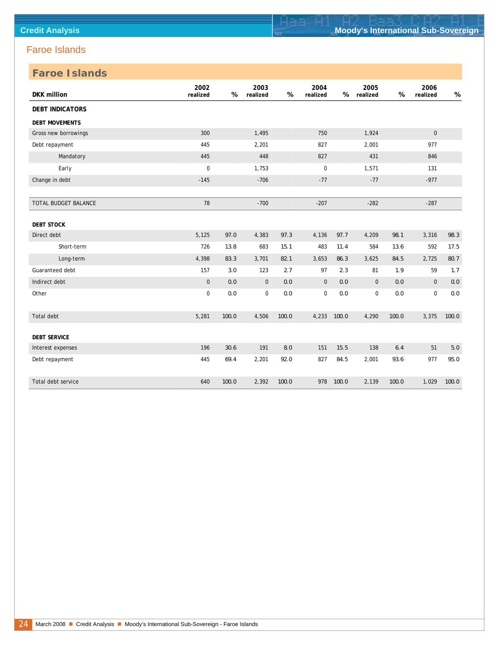| <b>Faroe Islands</b>   |                  |       |                  |       |                  |       |                  |       |                  |       |
|------------------------|------------------|-------|------------------|-------|------------------|-------|------------------|-------|------------------|-------|
| <b>DKK</b> million     | 2002<br>realized | %     | 2003<br>realized | %     | 2004<br>realized | %     | 2005<br>realized | $\%$  | 2006<br>realized | %     |
| <b>DEBT INDICATORS</b> |                  |       |                  |       |                  |       |                  |       |                  |       |
| <b>DEBT MOVEMENTS</b>  |                  |       |                  |       |                  |       |                  |       |                  |       |
| Gross new borrowings   | 300              |       | 1,495            |       | 750              |       | 1,924            |       | $\mathbf 0$      |       |
| Debt repayment         | 445              |       | 2,201            |       | 827              |       | 2,001            |       | 977              |       |
| Mandatory              | 445              |       | 448              |       | 827              |       | 431              |       | 846              |       |
| Early                  | $\pmb{0}$        |       | 1,753            |       | $\boldsymbol{0}$ |       | 1,571            |       | 131              |       |
| Change in debt         | $-145$           |       | $-706$           |       | $-77$            |       | $-77$            |       | $-977$           |       |
|                        |                  |       |                  |       |                  |       |                  |       |                  |       |
| TOTAL BUDGET BALANCE   | 78               |       | $-700$           |       | $-207$           |       | $-282$           |       | $-287$           |       |
| <b>DEBT STOCK</b>      |                  |       |                  |       |                  |       |                  |       |                  |       |
| Direct debt            | 5,125            | 97.0  | 4,383            | 97.3  | 4,136            | 97.7  | 4,209            | 98.1  | 3,316            | 98.3  |
| Short-term             | 726              | 13.8  | 683              | 15.1  | 483              | 11.4  | 584              | 13.6  | 592              | 17.5  |
| Long-term              | 4,398            | 83.3  | 3,701            | 82.1  | 3,653            | 86.3  | 3,625            | 84.5  | 2,725            | 80.7  |
| Guaranteed debt        | 157              | 3.0   | 123              | 2.7   | 97               | 2.3   | 81               | 1.9   | 59               | 1.7   |
| Indirect debt          | $\mathbf 0$      | 0.0   | $\mathbf 0$      | 0.0   | $\mathbf{0}$     | 0.0   | $\mathbf 0$      | 0.0   | $\mathbf{0}$     | $0.0$ |
| Other                  | $\pmb{0}$        | $0.0$ | $\mathbf 0$      | 0.0   | 0                | 0.0   | 0                | 0.0   | $\mathbf 0$      | $0.0$ |
| Total debt             | 5,281            | 100.0 | 4,506            | 100.0 | 4,233            | 100.0 | 4,290            | 100.0 | 3,375            | 100.0 |
| <b>DEBT SERVICE</b>    |                  |       |                  |       |                  |       |                  |       |                  |       |
| Interest expenses      | 196              | 30.6  | 191              | 8.0   | 151              | 15.5  | 138              | 6.4   | 51               | $5.0$ |
| Debt repayment         | 445              | 69.4  | 2,201            | 92.0  | 827              | 84.5  | 2,001            | 93.6  | 977              | 95.0  |
| Total debt service     | 640              | 100.0 | 2,392            | 100.0 | 978              | 100.0 | 2,139            | 100.0 | 1,029            | 100.0 |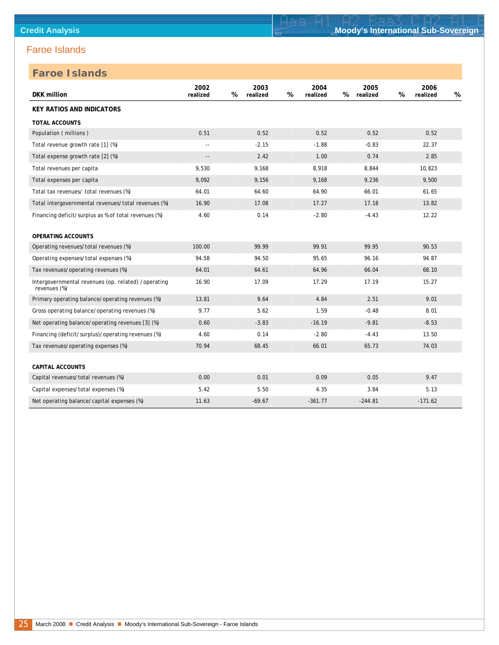| <b>DKK</b> million                                                  | 2002<br>realized         | % | 2003<br>realized | % | 2004<br>realized | % | 2005<br>realized | % | 2006<br>realized | % |
|---------------------------------------------------------------------|--------------------------|---|------------------|---|------------------|---|------------------|---|------------------|---|
| <b>KEY RATIOS AND INDICATORS</b>                                    |                          |   |                  |   |                  |   |                  |   |                  |   |
| <b>TOTAL ACCOUNTS</b>                                               |                          |   |                  |   |                  |   |                  |   |                  |   |
| Population (millions)                                               | 0.51                     |   | 0.52             |   | 0.52             |   | 0.52             |   | 0.52             |   |
| Total revenue growth rate [1] (%)                                   | $\overline{\phantom{a}}$ |   | $-2.15$          |   | $-1.88$          |   | $-0.83$          |   | 22.37            |   |
| Total expense growth rate [2] (%)                                   | $-$                      |   | 2.42             |   | 1.00             |   | 0.74             |   | 2.85             |   |
| Total revenues per capita                                           | 9,530                    |   | 9,168            |   | 8,918            |   | 8,844            |   | 10,823           |   |
| Total expenses per capita                                           | 9,092                    |   | 9,156            |   | 9,168            |   | 9,236            |   | 9,500            |   |
| Total tax revenues/ total revenues (%)                              | 64.01                    |   | 64.60            |   | 64.90            |   | 66.01            |   | 61.65            |   |
| Total intergovernmental revenues/total revenues (%)                 | 16.90                    |   | 17.08            |   | 17.27            |   | 17.18            |   | 13.82            |   |
| Financing deficit/surplus as % of total revenues (%)                | 4.60                     |   | 0.14             |   | $-2.80$          |   | $-4.43$          |   | 12.22            |   |
| <b>OPERATING ACCOUNTS</b>                                           |                          |   |                  |   |                  |   |                  |   |                  |   |
| Operating revenues/total revenues (%)                               | 100.00                   |   | 99.99            |   | 99.91            |   | 99.95            |   | 90.53            |   |
| Operating expenses/total expenses (%)                               | 94.58                    |   | 94.50            |   | 95.65            |   | 96.16            |   | 94.87            |   |
| Tax revenues/operating revenues (%)                                 | 64.01                    |   | 64.61            |   | 64.96            |   | 66.04            |   | 68.10            |   |
| Intergovernmental revenues (op. related) /operating<br>revenues (%) | 16.90                    |   | 17.09            |   | 17.29            |   | 17.19            |   | 15.27            |   |
| Primary operating balance/operating revenues (%)                    | 13.81                    |   | 9.64             |   | 4.84             |   | 2.51             |   | 9.01             |   |
| Gross operating balance/operating revenues (%)                      | 9.77                     |   | 5.62             |   | 1.59             |   | $-0.48$          |   | 8.01             |   |
| Net operating balance/operating revenues [3] (%)                    | 0.60                     |   | $-3.83$          |   | $-16.19$         |   | $-9.81$          |   | $-8.53$          |   |
| Financing (deficit/surplus)/operating revenues (%)                  | 4.60                     |   | 0.14             |   | $-2.80$          |   | $-4.43$          |   | 13.50            |   |
| Tax revenues/operating expenses (%)                                 | 70.94                    |   | 68.45            |   | 66.01            |   | 65.73            |   | 74.03            |   |
| <b>CAPITAL ACCOUNTS</b>                                             |                          |   |                  |   |                  |   |                  |   |                  |   |
| Capital revenues/total revenues (%)                                 | 0.00                     |   | 0.01             |   | 0.09             |   | 0.05             |   | 9.47             |   |
| Capital expenses/total expenses (%)                                 | 5.42                     |   | 5.50             |   | 4.35             |   | 3.84             |   | 5.13             |   |
| Net operating balance/capital expenses (%)                          | 11.63                    |   | $-69.67$         |   | $-361.77$        |   | $-244.81$        |   | $-171.62$        |   |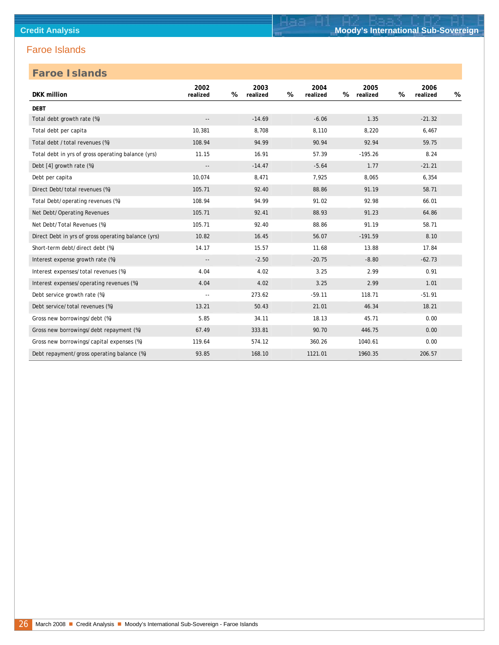| <b>DKK</b> million                                  | 2002<br>realized           | 2003<br>%<br>realized | 2004<br>%<br>realized | 2005<br>%<br>realized | 2006<br>%<br>realized | % |
|-----------------------------------------------------|----------------------------|-----------------------|-----------------------|-----------------------|-----------------------|---|
| <b>DEBT</b>                                         |                            |                       |                       |                       |                       |   |
| Total debt growth rate (%)                          | $\overline{\phantom{a}}$ . | $-14.69$              | $-6.06$               | 1.35                  | $-21.32$              |   |
| Total debt per capita                               | 10,381                     | 8,708                 | 8,110                 | 8,220                 | 6,467                 |   |
| Total debt /total revenues (%)                      | 108.94                     | 94.99                 | 90.94                 | 92.94                 | 59.75                 |   |
| Total debt in yrs of gross operating balance (yrs)  | 11.15                      | 16.91                 | 57.39                 | $-195.26$             | 8.24                  |   |
| Debt [4] growth rate (%)                            | $\overline{a}$             | $-14.47$              | $-5.64$               | 1.77                  | $-21.21$              |   |
| Debt per capita                                     | 10,074                     | 8,471                 | 7,925                 | 8,065                 | 6,354                 |   |
| Direct Debt/total revenues (%)                      | 105.71                     | 92.40                 | 88.86                 | 91.19                 | 58.71                 |   |
| Total Debt/operating revenues (%)                   | 108.94                     | 94.99                 | 91.02                 | 92.98                 | 66.01                 |   |
| Net Debt/Operating Revenues                         | 105.71                     | 92.41                 | 88.93                 | 91.23                 | 64.86                 |   |
| Net Debt/Total Revenues (%)                         | 105.71                     | 92.40                 | 88.86                 | 91.19                 | 58.71                 |   |
| Direct Debt in yrs of gross operating balance (yrs) | 10.82                      | 16.45                 | 56.07                 | $-191.59$             | 8.10                  |   |
| Short-term debt/direct debt (%)                     | 14.17                      | 15.57                 | 11.68                 | 13.88                 | 17.84                 |   |
| Interest expense growth rate (%)                    | $- -$                      | $-2.50$               | $-20.75$              | $-8.80$               | $-62.73$              |   |
| Interest expenses/total revenues (%)                | 4.04                       | 4.02                  | 3.25                  | 2.99                  | 0.91                  |   |
| Interest expenses/operating revenues (%)            | 4.04                       | 4.02                  | 3.25                  | 2.99                  | 1.01                  |   |
| Debt service growth rate (%)                        | $\sim$ $\sim$              | 273.62                | $-59.11$              | 118.71                | $-51.91$              |   |
| Debt service/total revenues (%)                     | 13.21                      | 50.43                 | 21.01                 | 46.34                 | 18.21                 |   |
| Gross new borrowings/debt (%)                       | 5.85                       | 34.11                 | 18.13                 | 45.71                 | 0.00                  |   |
| Gross new borrowings/debt repayment (%)             | 67.49                      | 333.81                | 90.70                 | 446.75                | 0.00                  |   |
| Gross new borrowings/capital expenses (%)           | 119.64                     | 574.12                | 360.26                | 1040.61               | 0.00                  |   |
| Debt repayment/gross operating balance (%)          | 93.85                      | 168.10                | 1121.01               | 1960.35               | 206.57                |   |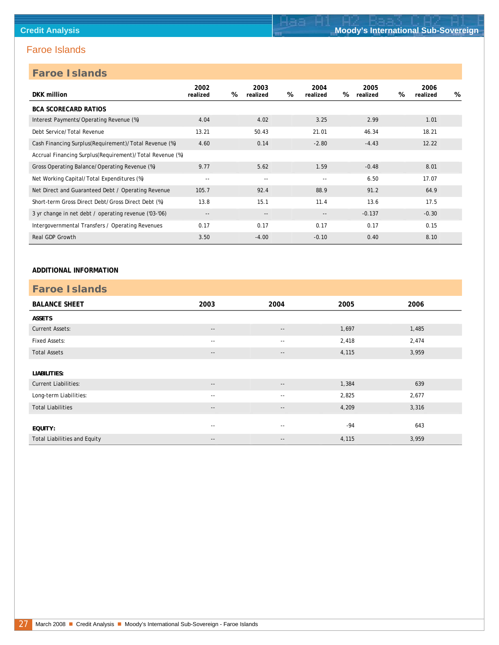### **Faroe Islands**

| $100 - 101 - 100$                                        |                          |   |                          |   |                            |   |                  |   |                  |   |
|----------------------------------------------------------|--------------------------|---|--------------------------|---|----------------------------|---|------------------|---|------------------|---|
| DKK million                                              | 2002<br>realized         | % | 2003<br>realized         | % | 2004<br>realized           | % | 2005<br>realized | % | 2006<br>realized | % |
| <b>BCA SCORECARD RATIOS</b>                              |                          |   |                          |   |                            |   |                  |   |                  |   |
| Interest Payments/Operating Revenue (%)                  | 4.04                     |   | 4.02                     |   | 3.25                       |   | 2.99             |   | 1.01             |   |
| Debt Service/Total Revenue                               | 13.21                    |   | 50.43                    |   | 21.01                      |   | 46.34            |   | 18.21            |   |
| Cash Financing Surplus(Requirement)/Total Revenue (%)    | 4.60                     |   | 0.14                     |   | $-2.80$                    |   | $-4.43$          |   | 12.22            |   |
| Accrual Financing Surplus(Requirement)/Total Revenue (%) |                          |   |                          |   |                            |   |                  |   |                  |   |
| Gross Operating Balance/Operating Revenue (%)            | 9.77                     |   | 5.62                     |   | 1.59                       |   | $-0.48$          |   | 8.01             |   |
| Net Working Capital/Total Expenditures (%)               | $\sim$ $-$               |   | $\sim$ $-$               |   | $ -$                       |   | 6.50             |   | 17.07            |   |
| Net Direct and Guaranteed Debt / Operating Revenue       | 105.7                    |   | 92.4                     |   | 88.9                       |   | 91.2             |   | 64.9             |   |
| Short-term Gross Direct Debt/Gross Direct Debt (%)       | 13.8                     |   | 15.1                     |   | 11.4                       |   | 13.6             |   | 17.5             |   |
| 3 yr change in net debt / operating revenue ('03-'06)    | $\overline{\phantom{a}}$ |   | $\overline{\phantom{a}}$ |   | $\overline{\phantom{a}}$ . |   | $-0.137$         |   | $-0.30$          |   |
| Intergovernmental Transfers / Operating Revenues         | 0.17                     |   | 0.17                     |   | 0.17                       |   | 0.17             |   | 0.15             |   |
| <b>Real GDP Growth</b>                                   | 3.50                     |   | $-4.00$                  |   | $-0.10$                    |   | 0.40             |   | 8.10             |   |

#### **ADDITIONAL INFORMATION**

| <b>Faroe Islands</b>                |                          |                          |       |       |  |  |  |  |  |  |
|-------------------------------------|--------------------------|--------------------------|-------|-------|--|--|--|--|--|--|
| <b>BALANCE SHEET</b>                | 2003                     | 2004                     | 2005  | 2006  |  |  |  |  |  |  |
| <b>ASSETS</b>                       |                          |                          |       |       |  |  |  |  |  |  |
| <b>Current Assets:</b>              | $\overline{\phantom{a}}$ | $\overline{\phantom{a}}$ | 1,697 | 1,485 |  |  |  |  |  |  |
| <b>Fixed Assets:</b>                | $\sim$ $-$               | $\sim$ $-$               | 2,418 | 2,474 |  |  |  |  |  |  |
| <b>Total Assets</b>                 | $\overline{\phantom{m}}$ | $\overline{\phantom{a}}$ | 4,115 | 3,959 |  |  |  |  |  |  |
|                                     |                          |                          |       |       |  |  |  |  |  |  |
| LIABILITIES:                        |                          |                          |       |       |  |  |  |  |  |  |
| <b>Current Liabilities:</b>         | $\sim$ $\sim$            | $\overline{\phantom{a}}$ | 1,384 | 639   |  |  |  |  |  |  |
| Long-term Liabilities:              | $\sim$ $-$               | $\sim$ $-$               | 2,825 | 2,677 |  |  |  |  |  |  |
| <b>Total Liabilities</b>            | $\overline{\phantom{a}}$ | $\overline{\phantom{a}}$ | 4,209 | 3,316 |  |  |  |  |  |  |
|                                     |                          |                          |       |       |  |  |  |  |  |  |
| EQUITY:                             | $\sim$ $-$               | $\sim$ $-$               | $-94$ | 643   |  |  |  |  |  |  |
| <b>Total Liabilities and Equity</b> | $\overline{\phantom{a}}$ | $\overline{\phantom{a}}$ | 4,115 | 3,959 |  |  |  |  |  |  |